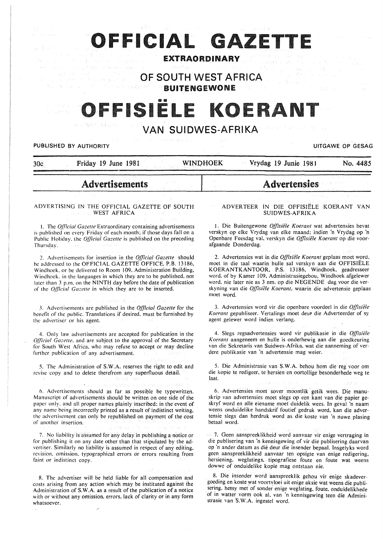# **OFFICIAL GAZETT**

### EXTRAORDINARY

**OF SOUTH WEST AFRICA**  BUITENGEWONE

# FFISIË

### VAN SUIDWES-AFRIKA

#### PUBLISHED BY AUTHORITY **EXAGGED AS A SECULIAR CONTRACT OF GESAGGED A** CONTRACT OF GESAGGED AND THE CONTRACT OF GESAG

| በሥ |  |  |
|----|--|--|
|    |  |  |
|    |  |  |

30c Friday 19 June 1981 WINPHOEK Vrydag 19 Junie 1981 No. 4485

## Advertisements

#### ADVERTISING IN THE OFFICIAL GAZETTE OF SOUTH WEST AFRICA

I. The *Official Gazelle* Extraordinary containing advertisements is published on every Friday of each month; if those days fall on a Public Holiday. the *Official Gazette* is published on the preceding Thursday.

2. Advertisements for insertion in the *Official Gazette* should be addressed to the OFFICIAL GAZETTE OFFICE, P.B. 13186, Windhoek. or be delivered to Room 109. Administration Building, Windhoek. in the languages in which they are to be published. not later than *3* p.m. on the NINTH day before the date of publication of the *Official Gazette* in which they are to be inserted.

3. Advertisements are published in the *Official Gazette* for the benefit of the public. Translations if desired. must be furnished by the advertiser or his agent.

4. Only law advertisements are accepted for publication in the *Qfficial Gazette, and are subject to the approval of the Secretary* for South West Africa. who may refuse to accept or may decline further publication of any advertisement.

5. The Administration of S.W.A. reserves the right to edit and revise copy and to delete therefrom any superfluous detail.

6. Advertisements should as far as possible be typewritten. Manuscript of advertisements should be written on one side of the paper only. and all proper names plainly inscribed; in the event of any name being incorrectly printed as a result of indistinct writing. the advertisement can only be republished on payment of the cost of another insertion.

7. No liability is assumed for any delay in publishing a notice or for publishing it on any date other than that stipulated by the advertiser. Similarly no liability is assumed in respect of any editing. revision. omission. typographical errors or errors resulting from faint or indistinct copy.

8. The advertiser will be held liable for all compensation and costs arising from any action which may be instituted against the Administration of S.W.A. as a result of the publication of a notice with or without any omission. errors. lack of clarity or in any form whatsoever.

#### ADVERTEER IN DIE OFFISIELE KOERANT VAN SUIDWES-AFRIKA

Advertensies

1. Die Buitengewone *Offisiele Koerant* wat advertensies bevat verskyn op elke Vrydag van elke maand; indien 'n Vrydag op 'n Openbare Feesdag val. verskyn die *Offisiele Koerant* op die voorafgaande Donderdag.

2. Advertensies wat in die *Ojfisiele Koerant* geplaas moet word. moet in die taal waarin hulle sal verskyn aan die OFFISIELE KOERANTKANTOOR, P.S. 13186, Windhoek, geadresseer word. of by Kamer 109, Administrasiegebou, Windhoek afgelewer word. nie later nie as 3 nm. op die NEGENDE dag voor die verskyning van die *Offisiele Koerant,* waarin die advertensie geplaas moet word.

3. Advertensies word vir die openbare voordeel in die *Offisiele Koerant gepubliseer. Vertalings moet deur die Adverteerder of sy* agent gelewer word indien verlang.

4. Slegs regsadvertensies word vir publikasie in die *Offisiële Koerant* aangeneem en hulle is onderhewig aan die gocdkeuring van die Sekretaris van Suidwes-Afrika. wat die aanneming of verdere publikasie van 'n advertensie mag weier.

5. Die Administrasie van S.W.A. behou horn die reg voor om die kopie te redigeer. te hersien en oortollige besonderhede weg te laat.

6. Advertensies moet sover moontlik getik wees. Die manuskrip van advertensies moet slegs op een kant van die papier geskryf word en aile eiename moet duidelik wees. In geval 'n naam weens onduidelike handskrif foutief gedruk word, kan die advertensic slegs dan herdruk word as die koste van 'n nuwe plasing betaal word.

7. Geen aanspreeklikheid word aanvaar vir enige vertraging in die publisering van 'n kennisgewing of vir die publisering daarvan op 'n ander datum as die deur die insender bepaal. Insgelyks word geen aanspreeklikheid aanvaar ten opsigte van enige redigering, hersiening. weglatings, tipografiese foute en foute wat weens dowwe of onduidelike kopie mag ontstaan nie.

8. Die insender word aanspreeklik gehou vir enige skadevergoeding en koste wat voortvloei uit enige aksie wat weens die publisering. hetsy met of sonder enige weglating, foute. onduidelikhede of in watter vorrn ook al. van 'n kennisgewing teen die Administrasie van S.W.A. ingestel word.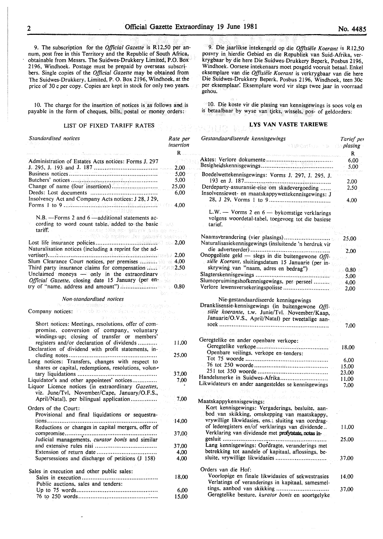9. The subscription for the *Official Gazette* is RI2,50 per annum, post free in this Territory and the Republic of South Africa, obtainable from Messrs. The Suidwes-Drukkery Limited, P.O. Box 2196, Windhoek. Postage must be prepaid by overseas subscribers. Single copies of the *Official Gazette* may be obtained from The Suidwes-Drukkery, Limited, P. 0. Box 2196, Windhoek, at the price of 30 c per copy. Copies are kept in stock for only two years.

10. The charge for the insertion of notices is as follows and is payable in the form of cheques, bills, postal or money orders:

#### LIST OF FIXED TARIFF RATES

| Standardised notices                                                                                                                                                                                                                                                            | Rate per<br>insertion |
|---------------------------------------------------------------------------------------------------------------------------------------------------------------------------------------------------------------------------------------------------------------------------------|-----------------------|
|                                                                                                                                                                                                                                                                                 | R.                    |
| Administration of Estates Acts notices: Forms J. 297                                                                                                                                                                                                                            |                       |
|                                                                                                                                                                                                                                                                                 |                       |
|                                                                                                                                                                                                                                                                                 | $-5,00$               |
|                                                                                                                                                                                                                                                                                 | 5,00                  |
| Change of name (four insertions)                                                                                                                                                                                                                                                | 25,00                 |
| Insolvency Act and Company Acts notices: J 28, J 29,                                                                                                                                                                                                                            | 6,00                  |
| 도시 1500 M 대형 가족 프로젝트<br>N.B. - Forms 2 and 6 - additional statements ac-                                                                                                                                                                                                        |                       |
| cording to word count table, added to the basic<br>tariff.<br>s and that the Virginian via all is the train of<br>Consigne Heaving vals repliced die Officer in the con-                                                                                                        |                       |
|                                                                                                                                                                                                                                                                                 |                       |
| Naturalisation notices (including a reprint for the ad-                                                                                                                                                                                                                         |                       |
| Slum Clearance Court notices, per premises and an 4,00                                                                                                                                                                                                                          |                       |
| Third party insurance claims for compensation  202.50                                                                                                                                                                                                                           |                       |
| Unclaimed moneys - only in the extraordinary of the layer<br>Official Gazette, closing date 15 January (per en-                                                                                                                                                                 |                       |
| try of "name, address and amount") A. animalization of the 0,80                                                                                                                                                                                                                 |                       |
|                                                                                                                                                                                                                                                                                 | Barnett Barnett       |
| Non-standardised notices<br>αν πουσκον στεφρομικά με τους και συμβού.                                                                                                                                                                                                           |                       |
| Company notices: its costs material state of case of single com-<br>go ha word be professed                                                                                                                                                                                     |                       |
| Short notices: Meetings, resolutions, offer of com-<br>promise, conversion of company, voluntary<br>windings-up; closing of transfer or members'<br>registers and/or declaration of dividends<br>$\mathcal{O}(\epsilon)$<br>Declaration of dividend with profit statements, in- | 11,00                 |
| Long notices: Transfers, changes with respect to<br>shares or capital, redemptions, resolutions, volun-                                                                                                                                                                         | 25,00                 |
|                                                                                                                                                                                                                                                                                 | 37,00                 |
| Liquidator's and other appointees' notices<br>Liquor Licence notices (in extraordinary Gazettes,                                                                                                                                                                                | 7,00                  |
| viz. June/Tvl, November/Cape, January/O.F.S.,<br>April/Natal), per bilingual application                                                                                                                                                                                        | 7,00                  |
| Orders of the Court:                                                                                                                                                                                                                                                            |                       |
| Provisional and final liquidations or sequestra-                                                                                                                                                                                                                                |                       |
| tions<br>Reductions or changes in capital mergers, offer of                                                                                                                                                                                                                     | 14,00                 |
| Judicial managements, curator bonis and similar                                                                                                                                                                                                                                 | 37,00                 |
|                                                                                                                                                                                                                                                                                 | 37,00                 |
|                                                                                                                                                                                                                                                                                 | 4,00                  |
| Supersessions and discharge of petitions (J 158)                                                                                                                                                                                                                                | 4,00                  |
| Sales in execution and other public sales:                                                                                                                                                                                                                                      | 18,00                 |
| Public auctions, sales and tenders:                                                                                                                                                                                                                                             |                       |
|                                                                                                                                                                                                                                                                                 | 6.00<br>15,00         |
|                                                                                                                                                                                                                                                                                 |                       |

9. Die jaarlikse intekengeld op die *Offisiële Koerant* is R12,50 posvry in hierdie Gebied en die Republiek van Suid-Afrika, verkrygbaar by die here Die Suidwes-Drukkery Beperk, Posbus 2196, Windhoek. Oorsese intekenaars moet posgeld vooruit betaal. Enkel eksemplare van die *Offisiële Koerant* is verkrygbaar van die here Die Suidwes-Drukkery Beperk, Posbus 2196, Windhoek, teen 30c per eksemplaar. Eksemplare word vir slegs twee jaar in voorraad gehou.

10. Die koste vir die plasing van kennisgewings is soos volg en is betaalbaar by wyse van tjeks, wissels, pos- of geldorders:

#### LYS VAN VASTE TARIEWE

| Gestandaardiseerde kennisgewings<br><b>TIPORIUM IN INP<mark>lasing</mark></b>                                                                                                                     | Tarief per<br>R |
|---------------------------------------------------------------------------------------------------------------------------------------------------------------------------------------------------|-----------------|
| erentzia zaindeteko eragilea eta barren egin daurrezagile beheria desena ere, izten zuen ez ere zen ez                                                                                            | 6,00<br>5.00    |
| Boedelwettekennisgewings: Vorms J. 297, J. 295, J.                                                                                                                                                |                 |
|                                                                                                                                                                                                   | 2,00            |
| Derdeparty-assuransie-eise om skadevergoeding                                                                                                                                                     | 2,50            |
| Insolvensiewet- en maatskappywettekennisgewings: J                                                                                                                                                |                 |
|                                                                                                                                                                                                   | 4.00            |
| L.W. -- Vorms 2 en $6$ -- bykomstige verklarings                                                                                                                                                  |                 |
| volgens woordetal-tabel, toegevoeg tot die basiese<br>tarief.<br>ras and critics accident                                                                                                         |                 |
| - Grupo e<br>we have been assessed to the product of                                                                                                                                              |                 |
|                                                                                                                                                                                                   | 25,00           |
| Naturalisasiekennisgewings (insluitende 'n herdruk vir                                                                                                                                            |                 |
| Onopgeëiste geld — slegs in die buitengewone $Off$ .                                                                                                                                              | 2.00            |
|                                                                                                                                                                                                   |                 |
| siële Koerant, sluitingsdatum 15 Januarie (per in-<br>skrywing van "naam, adres en bedrag")                                                                                                       |                 |
|                                                                                                                                                                                                   |                 |
|                                                                                                                                                                                                   |                 |
|                                                                                                                                                                                                   |                 |
| Nie-gestandaardiseerde kennisgewings<br>Dranklisensie-kennisgewings (in buitengewone Offi-<br>siële koerante, t.w. Junie/Tvl. November/Kaap,<br>Januarie/O.V.S., April/Natal) per tweetalige aan- |                 |
|                                                                                                                                                                                                   | 7.00            |
| the fit for which is a stronghold of good and provided to the                                                                                                                                     |                 |
| Geregtelike en ander openbare verkope:                                                                                                                                                            |                 |
|                                                                                                                                                                                                   |                 |
| Openbare veilings, verkope en tenders:                                                                                                                                                            |                 |
|                                                                                                                                                                                                   | 6,00            |
|                                                                                                                                                                                                   | 15,00           |
| Handelsmerke in Suidwes-Afrika                                                                                                                                                                    | 23,00           |
| Likwidateurs en ander aangesteldes se kennisgewings                                                                                                                                               | 11,00<br>7,00   |
| ○経済に対する スコース しょおうない みんじゅん マチュー                                                                                                                                                                    |                 |
| alla esti la della constituzione                                                                                                                                                                  |                 |
| Maatskappykennisgewings:<br>be a surg                                                                                                                                                             |                 |
| Kort kennisgewings: Vergaderings, besluite, aan-                                                                                                                                                  |                 |
| bod van skikking, omskepping van maatskappy,                                                                                                                                                      |                 |
| vrywillige likwidasies, ens.; sluiting van oordrag-<br>of lederegisters en/of verklarings van dividende                                                                                           | 11.00           |
| Verklaring van dividende met profytstate, notas in-                                                                                                                                               |                 |
|                                                                                                                                                                                                   | 25,00           |
| Lang kennisgewings: Oordragte, veranderings met                                                                                                                                                   |                 |
| betrekking tot aandele of kapitaal, aflossings, be-                                                                                                                                               |                 |
| sluite, vrywillige likwidasies                                                                                                                                                                    | 37,00           |
| Orders van die Hof:                                                                                                                                                                               |                 |
| Voorlopige en finale likwidasies of sekwestrasies                                                                                                                                                 | 14.00           |
| Verlatings of veranderings in kapitaal, samesmel-                                                                                                                                                 |                 |
| tings, aanbod van skikking                                                                                                                                                                        | 37.00           |
| Geregtelike besture, kurator bonis en soortgelyke.                                                                                                                                                |                 |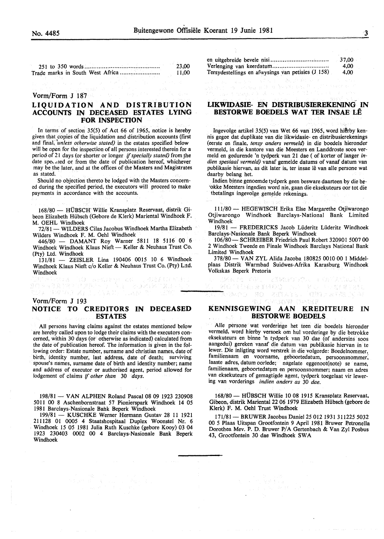251 to 350 words .......................................... . Trade marks in South West Africa ...................... . 23,00 11,00

#### Vorm/Form J 187

#### LIQUIDATION AND DISTRIBUTION ACCOUNTS IN DECEASED ESTATES LYING FOR INSPECTION

In terms of section 35(5) of Act 66 of 1965, notice is hereby given that copies of the liquidation and distribution accounts (first and final, *unless otherwise stated*) in the estates specified below will be open for the inspection of all persons interested therein for a period of 21 days (or shorter or longer if *specially stated)* from \_the date speculed or from the date of publication hereof, whichever may be the later, and at the offices of the Masters and Magistrates as stated.

Should no objection thereto be lodged with the Masters concerned during the specified period, the executors will proceed to make payments in accordance with the accounts.

168/80- HUBScH· Willie Kransplatz Reservaat, distrik Gibeon Elizabeth Hiibsch (Gebore de Klerk) Mariental Windhoek F. M. OEHL Windhoek

72/81 - WILDERS Cilas Jacobus Windhoek Martha Elizabeth Wilders Windhoek F. M. Oehl Windhoek

446/80 - DAMANT Roy Warner 5811 18 5116 00 6 Windhoek Windhoek Klaus Nieft- Keller & Neuhaus Trust Co. (Pty) Ltd. Windhoek

 $131/81$  - ZEISLER Lina 190406 0015 10 6 Windhoek Windhoek Klaus Nieft c/o Keller & Neuhaus Trust Co. (Pty) L:td. **Windhoek**<br>1981 - Alexandr Holl, amerikansk skriver († 1992)<br>1982 - Alexandr Alexandr, amerikansk formuler<br>1982 - Alexandr Alexandr, amerikansk formuler

超速系数 紅尾

#### Vorm/Form J 193 NOTICE TO CREDITORS IN DECEASED ESTATES

All persons having claims against the estates mentioned below are hereby called upon to lodge their claims with the executors concerned, within 30 days (or otherwise as indicated) calculated from the date of publication hereof. The information is given in the following order: Estate number, surname and christian names, date of birth, identity number, last address, date of death; surviving spouse's names, surname date of birth and identity number; name and address of executor or authorised agent, period allowed for lodgement of claims if *other than* 30 *days.* 

198/81 - VAN ALPHEN Roland Pascal 08 09 1923 230908 5011 00 8 Aschenbornstraat 57 Pionierspark Windhoek 14 05 1981 Barclays-Nasionale Bank Beperk Windhoek

199/81 - KUSCHKE Werner Hermann Gustav 28 11 1921 211128 01 0005 4 Staatshospitaal Duplex Woonstel Nr. 6 Windhoek 15 05 1981 Julia Ruth Kuschke (gebore Kooy) 03 04 1923 230403 0002 00 4 Barclays-Nasionale Bank Beperk Windhoek

en uitgebreide bevele nisi ................................ . Verlenging van keerdatum ............................... . Tersydestellings en afwysings van petisies (J 158) 37,00 4,00 4,00

e se en la seu para la visiba de la partida<br>19 de julio: La seu marca de la Persión nombre<br>19 de julio: La partida de la visiba de la partida

#### LIKWIDASIE- EN DISTRIBUSffiREKENING IN BESTORWE BOEDELS WAT TER INSAE LE

음악 가격

Ingevolge artikel 35(5) van Wet 66 van 1965, word hierby kennis gegee dat duplikate van die Iikwidasie- en distribusierekenings (eerste en fmale, *tensy anders vermeld)* in die boedels hieronder vermeld, in die kantore van die Meesters en Landdroste soos vermeld en gedurende 'n tydperk van 21 dae ( of korter of Ianger *indien spesiaal vermeld)* vanaf gemelde datums of vanaf datum van publikasie hiervan, as dit later is, ter insae lê van alle persone wat daarby belang het.

Indien binne genoemde tydperk geen besware daarteen by die be-·okke Meesters ingedien word nie, gaan die eksekuteurs oor tot die tbetalings ingevolge gemelde rekenings.

111/80 - HEGEWISCH Erika Else Margarethe Otjiwarongo Otjiwarongo Windhoek Barclays-National Bank Limited Windhoek

19/81 - FREDERICKS Jacob Liideritz Liideritz Windhoek Barclays-Nasionale Bank Beperk Windhoek

106/80- SCHREIBER Friedrich Paul Robert 320901 5007 00 2 Windhoek Tweede en Finale Windhoek Barclays National Bank Limited Windhoek

378/80- VAN ZYL Alida Jacoba 180825 0010 00 1 Middelplaas Distrik Warmbad Suidwes-Afrika Karasburg Windhoek Volkskas Beperk Pretoria

renco eo atraba (quarrenca e<br>Mondo eo atraba (quarrenca

2番数はつうやんしゅ ほどえだはなぎ

#### KENNISGEWING AAN KREDITEURE IN BESTORWE BOEDELS

Aile persone wat vorderinge het teen die boedels hieronder vermeld, word hierby versoek om hul vorderinge by die betrokke eksekuteurs en binne 'n tydperk van 30 dae (of andersins soos aangedui) gereken vanaf die datum van publikasie hiervan in te !ewer. Die inligting word verstrek in die volgorde: Boedelnommer, familienaam en voorname, geboortedatum, persoonsnommer; laaste adres, datum oorlede; nagelate eggenoot(note) se name, familienaam, geboortedatum en persoonsnommer; naam en adres van eksekuteurs of gemagtigde agent, tydperk toegelaat vir lewering van vorderings *indien anders as* 30 *dae.* 

168/80- HUBSCH Willie 10 08 1915 Kransplatz Reservaat, Gibeon, distrik Mariental22 06 1979 Elizabeth Hiibsch (gebore de Klerk) F. M. Oehl Trust Windhoek

171/81 - BRUWER Jacobus Daniel 25 012 1931 311225 5032 00 5 Plaas Uitspan Grootfontein 9 April 1981 Bruwer Petronella Dorothea Mev. P. D. Bruwer P/A Gertenbach & Van Zyl Posbus 43, Grootfontein 30 dae Windhoek SW A

化管壁积蓄